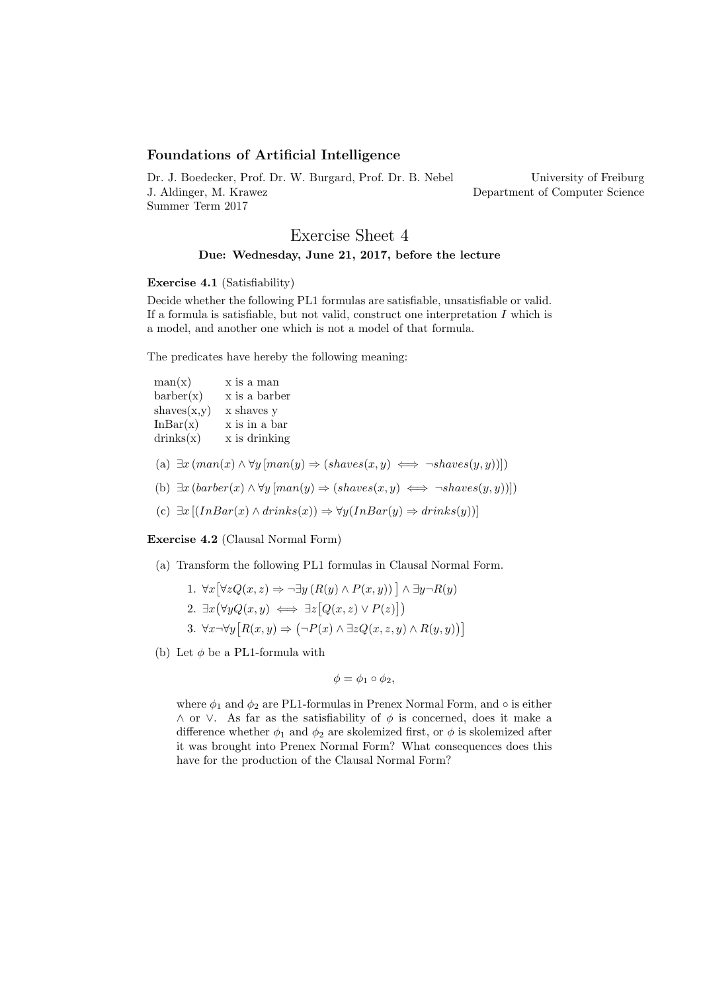## Foundations of Artificial Intelligence

Dr. J. Boedecker, Prof. Dr. W. Burgard, Prof. Dr. B. Nebel J. Aldinger, M. Krawez Summer Term 2017

University of Freiburg Department of Computer Science

# Exercise Sheet 4 Due: Wednesday, June 21, 2017, before the lecture

#### Exercise 4.1 (Satisfiability)

Decide whether the following PL1 formulas are satisfiable, unsatisfiable or valid. If a formula is satisfiable, but not valid, construct one interpretation  $I$  which is a model, and another one which is not a model of that formula.

The predicates have hereby the following meaning:

| man(x)      | x is a man    |
|-------------|---------------|
| bar(x)      | x is a barber |
| shaves(x,y) | x shaves y    |
| InBar(x)    | x is in a bar |
| drinks(x)   | x is drinking |
|             |               |

- (a)  $\exists x \, (man(x) \land \forall y \, [man(y) \Rightarrow (shaves(x, y) \iff \neg shaves(y, y))])$
- (b)  $\exists x \left( \text{barber}(x) \land \forall y \left[ \text{man}(y) \Rightarrow (\text{shaves}(x, y) \iff \neg \text{shaves}(y, y)) \right] \right)$
- (c)  $\exists x [(InBar(x) \land drinks(x)) \Rightarrow \forall y (InBar(y) \Rightarrow drinks(y))]$

Exercise 4.2 (Clausal Normal Form)

(a) Transform the following PL1 formulas in Clausal Normal Form.

1. 
$$
\forall x [\forall z Q(x, z) \Rightarrow \neg \exists y (R(y) \land P(x, y))] \land \exists y \neg R(y)
$$
  
\n2.  $\exists x (\forall y Q(x, y) \iff \exists z [Q(x, z) \lor P(z)])$   
\n3.  $\forall x \neg \forall y [R(x, y) \Rightarrow (\neg P(x) \land \exists z Q(x, z, y) \land R(y, y))] \land \exists z Q(x, z, y) \land R(y, y)]$ 

(b) Let  $\phi$  be a PL1-formula with

$$
\phi = \phi_1 \circ \phi_2,
$$

where  $\phi_1$  and  $\phi_2$  are PL1-formulas in Prenex Normal Form, and  $\circ$  is either  $\land$  or  $\lor$ . As far as the satisfiability of  $\phi$  is concerned, does it make a difference whether  $\phi_1$  and  $\phi_2$  are skolemized first, or  $\phi$  is skolemized after it was brought into Prenex Normal Form? What consequences does this have for the production of the Clausal Normal Form?